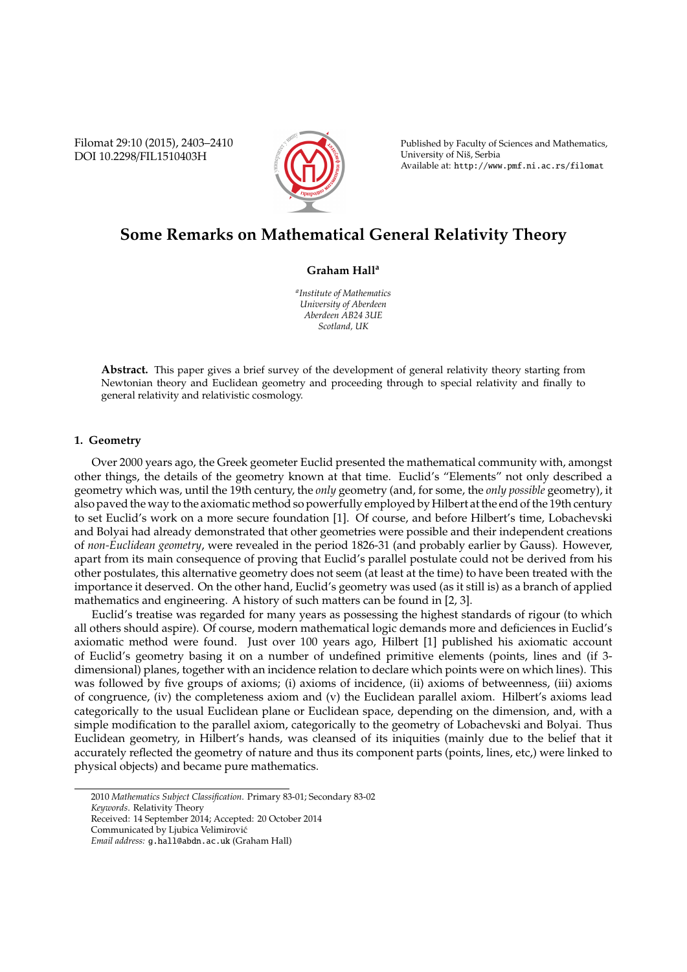Filomat 29:10 (2015), 2403–2410 DOI 10.2298/FIL1510403H



Published by Faculty of Sciences and Mathematics, University of Niš, Serbia Available at: http://www.pmf.ni.ac.rs/filomat

# **Some Remarks on Mathematical General Relativity Theory**

# **Graham Hall<sup>a</sup>**

*a Institute of Mathematics University of Aberdeen Aberdeen AB24 3UE Scotland, UK*

**Abstract.** This paper gives a brief survey of the development of general relativity theory starting from Newtonian theory and Euclidean geometry and proceeding through to special relativity and finally to general relativity and relativistic cosmology.

## **1. Geometry**

Over 2000 years ago, the Greek geometer Euclid presented the mathematical community with, amongst other things, the details of the geometry known at that time. Euclid's "Elements" not only described a geometry which was, until the 19th century, the *only* geometry (and, for some, the *only possible* geometry), it also paved the way to the axiomatic method so powerfully employed by Hilbert at the end of the 19th century to set Euclid's work on a more secure foundation [1]. Of course, and before Hilbert's time, Lobachevski and Bolyai had already demonstrated that other geometries were possible and their independent creations of *non-Euclidean geometry*, were revealed in the period 1826-31 (and probably earlier by Gauss). However, apart from its main consequence of proving that Euclid's parallel postulate could not be derived from his other postulates, this alternative geometry does not seem (at least at the time) to have been treated with the importance it deserved. On the other hand, Euclid's geometry was used (as it still is) as a branch of applied mathematics and engineering. A history of such matters can be found in [2, 3].

Euclid's treatise was regarded for many years as possessing the highest standards of rigour (to which all others should aspire). Of course, modern mathematical logic demands more and deficiences in Euclid's axiomatic method were found. Just over 100 years ago, Hilbert [1] published his axiomatic account of Euclid's geometry basing it on a number of undefined primitive elements (points, lines and (if 3 dimensional) planes, together with an incidence relation to declare which points were on which lines). This was followed by five groups of axioms; (i) axioms of incidence, (ii) axioms of betweenness, (iii) axioms of congruence, (iv) the completeness axiom and (v) the Euclidean parallel axiom. Hilbert's axioms lead categorically to the usual Euclidean plane or Euclidean space, depending on the dimension, and, with a simple modification to the parallel axiom, categorically to the geometry of Lobachevski and Bolyai. Thus Euclidean geometry, in Hilbert's hands, was cleansed of its iniquities (mainly due to the belief that it accurately reflected the geometry of nature and thus its component parts (points, lines, etc,) were linked to physical objects) and became pure mathematics.

<sup>2010</sup> *Mathematics Subject Classification*. Primary 83-01; Secondary 83-02 *Keywords*. Relativity Theory

Received: 14 September 2014; Accepted: 20 October 2014

Communicated by Ljubica Velimirovic´

*Email address:* g.hall@abdn.ac.uk (Graham Hall)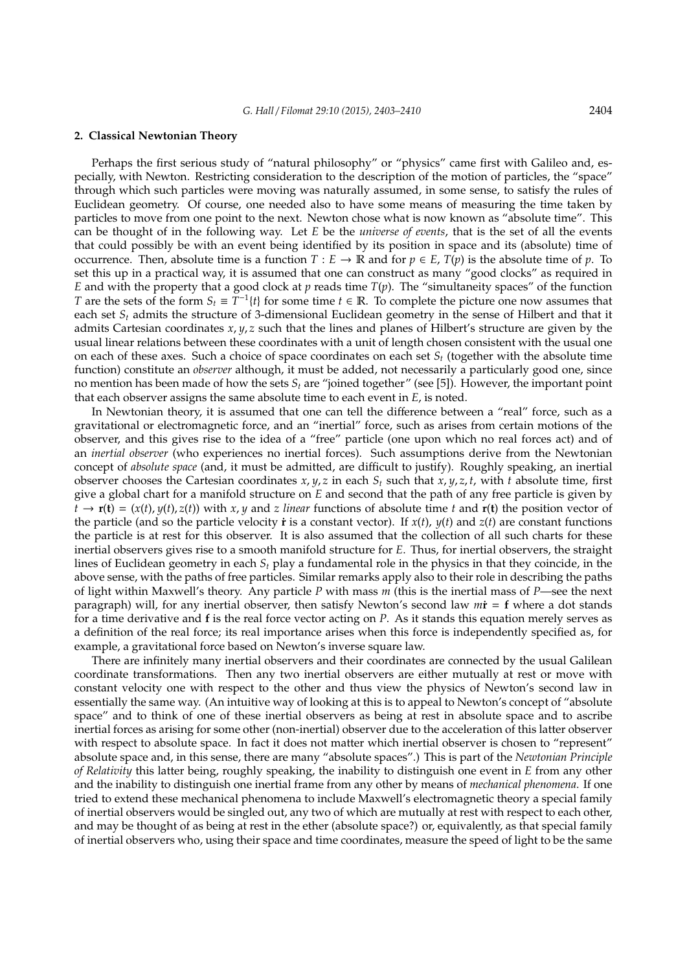#### **2. Classical Newtonian Theory**

Perhaps the first serious study of "natural philosophy" or "physics" came first with Galileo and, especially, with Newton. Restricting consideration to the description of the motion of particles, the "space" through which such particles were moving was naturally assumed, in some sense, to satisfy the rules of Euclidean geometry. Of course, one needed also to have some means of measuring the time taken by particles to move from one point to the next. Newton chose what is now known as "absolute time". This can be thought of in the following way. Let *E* be the *universe of events*, that is the set of all the events that could possibly be with an event being identified by its position in space and its (absolute) time of occurrence. Then, absolute time is a function  $T : E \to \mathbb{R}$  and for  $p \in E$ ,  $T(p)$  is the absolute time of *p*. To set this up in a practical way, it is assumed that one can construct as many "good clocks" as required in *E* and with the property that a good clock at *p* reads time  $T(p)$ . The "simultaneity spaces" of the function *T* are the sets of the form  $S_t \equiv T^{-1}{t}$  for some time  $t \in \mathbb{R}$ . To complete the picture one now assumes that each set *S<sup>t</sup>* admits the structure of 3-dimensional Euclidean geometry in the sense of Hilbert and that it admits Cartesian coordinates *x*, *y*, *z* such that the lines and planes of Hilbert's structure are given by the usual linear relations between these coordinates with a unit of length chosen consistent with the usual one on each of these axes. Such a choice of space coordinates on each set *S<sup>t</sup>* (together with the absolute time function) constitute an *observer* although, it must be added, not necessarily a particularly good one, since no mention has been made of how the sets *S<sup>t</sup>* are "joined together" (see [5]). However, the important point that each observer assigns the same absolute time to each event in *E*, is noted.

In Newtonian theory, it is assumed that one can tell the difference between a "real" force, such as a gravitational or electromagnetic force, and an "inertial" force, such as arises from certain motions of the observer, and this gives rise to the idea of a "free" particle (one upon which no real forces act) and of an *inertial observer* (who experiences no inertial forces). Such assumptions derive from the Newtonian concept of *absolute space* (and, it must be admitted, are difficult to justify). Roughly speaking, an inertial observer chooses the Cartesian coordinates  $x, y, z$  in each  $S_t$  such that  $x, y, z, t$ , with  $t$  absolute time, first give a global chart for a manifold structure on *E* and second that the path of any free particle is given by  $t \to \mathbf{r}(\mathbf{t}) = (x(t), y(t), z(t))$  with *x*, *y* and *z* linear functions of absolute time *t* and  $\mathbf{r}(\mathbf{t})$  the position vector of the particle (and so the particle velocity  $\dot{\mathbf{r}}$  is a constant vector). If  $x(t)$ ,  $y(t)$  and  $z(t)$  are constant functions the particle is at rest for this observer. It is also assumed that the collection of all such charts for these inertial observers gives rise to a smooth manifold structure for *E*. Thus, for inertial observers, the straight lines of Euclidean geometry in each *S<sup>t</sup>* play a fundamental role in the physics in that they coincide, in the above sense, with the paths of free particles. Similar remarks apply also to their role in describing the paths of light within Maxwell's theory. Any particle *P* with mass *m* (this is the inertial mass of *P*—see the next paragraph) will, for any inertial observer, then satisfy Newton's second law *m***˙r** = **f** where a dot stands for a time derivative and **f** is the real force vector acting on *P*. As it stands this equation merely serves as a definition of the real force; its real importance arises when this force is independently specified as, for example, a gravitational force based on Newton's inverse square law.

There are infinitely many inertial observers and their coordinates are connected by the usual Galilean coordinate transformations. Then any two inertial observers are either mutually at rest or move with constant velocity one with respect to the other and thus view the physics of Newton's second law in essentially the same way. (An intuitive way of looking at this is to appeal to Newton's concept of "absolute space" and to think of one of these inertial observers as being at rest in absolute space and to ascribe inertial forces as arising for some other (non-inertial) observer due to the acceleration of this latter observer with respect to absolute space. In fact it does not matter which inertial observer is chosen to "represent" absolute space and, in this sense, there are many "absolute spaces".) This is part of the *Newtonian Principle of Relativity* this latter being, roughly speaking, the inability to distinguish one event in *E* from any other and the inability to distinguish one inertial frame from any other by means of *mechanical phenomena*. If one tried to extend these mechanical phenomena to include Maxwell's electromagnetic theory a special family of inertial observers would be singled out, any two of which are mutually at rest with respect to each other, and may be thought of as being at rest in the ether (absolute space?) or, equivalently, as that special family of inertial observers who, using their space and time coordinates, measure the speed of light to be the same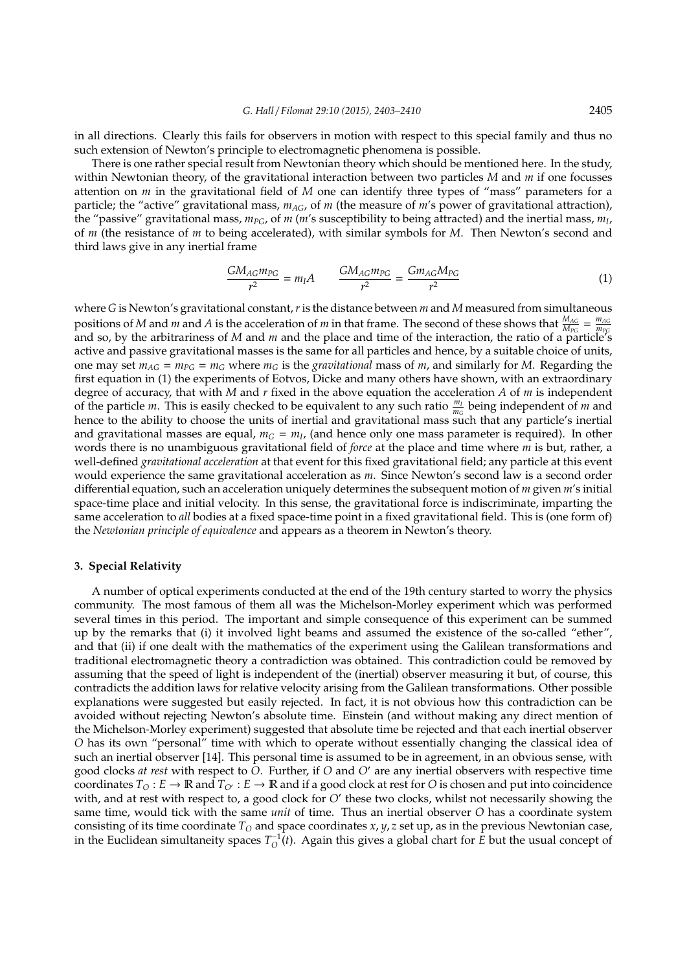in all directions. Clearly this fails for observers in motion with respect to this special family and thus no such extension of Newton's principle to electromagnetic phenomena is possible.

There is one rather special result from Newtonian theory which should be mentioned here. In the study, within Newtonian theory, of the gravitational interaction between two particles *M* and *m* if one focusses attention on *m* in the gravitational field of *M* one can identify three types of "mass" parameters for a particle; the "active" gravitational mass,  $m_{AG}$ , of  $m$  (the measure of  $m$ 's power of gravitational attraction), the "passive" gravitational mass, *mPG*, of *m* (*m*'s susceptibility to being attracted) and the inertial mass, *m<sup>I</sup>* , of *m* (the resistance of *m* to being accelerated), with similar symbols for *M*. Then Newton's second and third laws give in any inertial frame

$$
\frac{GM_{AG}m_{PG}}{r^2} = m_l A \qquad \frac{GM_{AG}m_{PG}}{r^2} = \frac{Gm_{AG}M_{PG}}{r^2} \tag{1}
$$

where *G* is Newton's gravitational constant, *r*is the distance between *m* and *M* measured from simultaneous positions of *M* and *m* and *A* is the acceleration of *m* in that frame. The second of these shows that  $\frac{M_{AG}}{M_{PG}} = \frac{m_{AG}}{m_{PG}}$ positions of *M* and *m* and *H* is the acceleration of *m* in that Hame. The second of these shows that  $M_{PG} = m_{PG}$  and so, by the arbitrariness of *M* and *m* and the place and time of the interaction, the ratio of a active and passive gravitational masses is the same for all particles and hence, by a suitable choice of units, one may set  $m_{AG} = m_{PG} = m_G$  where  $m_G$  is the *gravitational* mass of *m*, and similarly for *M*. Regarding the first equation in (1) the experiments of Eotvos, Dicke and many others have shown, with an extraordinary degree of accuracy, that with *M* and *r* fixed in the above equation the acceleration *A* of *m* is independent of the particle *m*. This is easily checked to be equivalent to any such ratio  $\frac{m_l}{m_G}$  being independent of *m* and hence to the ability to choose the units of inertial and gravitational mass such that any particle's inertial and gravitational masses are equal,  $m_G = m_I$ , (and hence only one mass parameter is required). In other words there is no unambiguous gravitational field of *force* at the place and time where *m* is but, rather, a well-defined *gravitational acceleration* at that event for this fixed gravitational field; any particle at this event would experience the same gravitational acceleration as *m*. Since Newton's second law is a second order differential equation, such an acceleration uniquely determines the subsequent motion of *m* given *m*'s initial space-time place and initial velocity. In this sense, the gravitational force is indiscriminate, imparting the same acceleration to *all* bodies at a fixed space-time point in a fixed gravitational field. This is (one form of) the *Newtonian principle of equivalence* and appears as a theorem in Newton's theory.

## **3. Special Relativity**

A number of optical experiments conducted at the end of the 19th century started to worry the physics community. The most famous of them all was the Michelson-Morley experiment which was performed several times in this period. The important and simple consequence of this experiment can be summed up by the remarks that (i) it involved light beams and assumed the existence of the so-called "ether", and that (ii) if one dealt with the mathematics of the experiment using the Galilean transformations and traditional electromagnetic theory a contradiction was obtained. This contradiction could be removed by assuming that the speed of light is independent of the (inertial) observer measuring it but, of course, this contradicts the addition laws for relative velocity arising from the Galilean transformations. Other possible explanations were suggested but easily rejected. In fact, it is not obvious how this contradiction can be avoided without rejecting Newton's absolute time. Einstein (and without making any direct mention of the Michelson-Morley experiment) suggested that absolute time be rejected and that each inertial observer *O* has its own "personal" time with which to operate without essentially changing the classical idea of such an inertial observer [14]. This personal time is assumed to be in agreement, in an obvious sense, with good clocks *at rest* with respect to *O*. Further, if *O* and *O'* are any inertial observers with respective time coordinates  $T_O: E \to \mathbb{R}$  and  $T_{O'}: E \to \mathbb{R}$  and if a good clock at rest for *O* is chosen and put into coincidence with, and at rest with respect to, a good clock for *O'* these two clocks, whilst not necessarily showing the same time, would tick with the same *unit* of time. Thus an inertial observer *O* has a coordinate system consisting of its time coordinate  $T<sub>O</sub>$  and space coordinates  $x$ ,  $y$ ,  $z$  set up, as in the previous Newtonian case, in the Euclidean simultaneity spaces  $T_O^{-1}(t)$ . Again this gives a global chart for  $\vec{E}$  but the usual concept of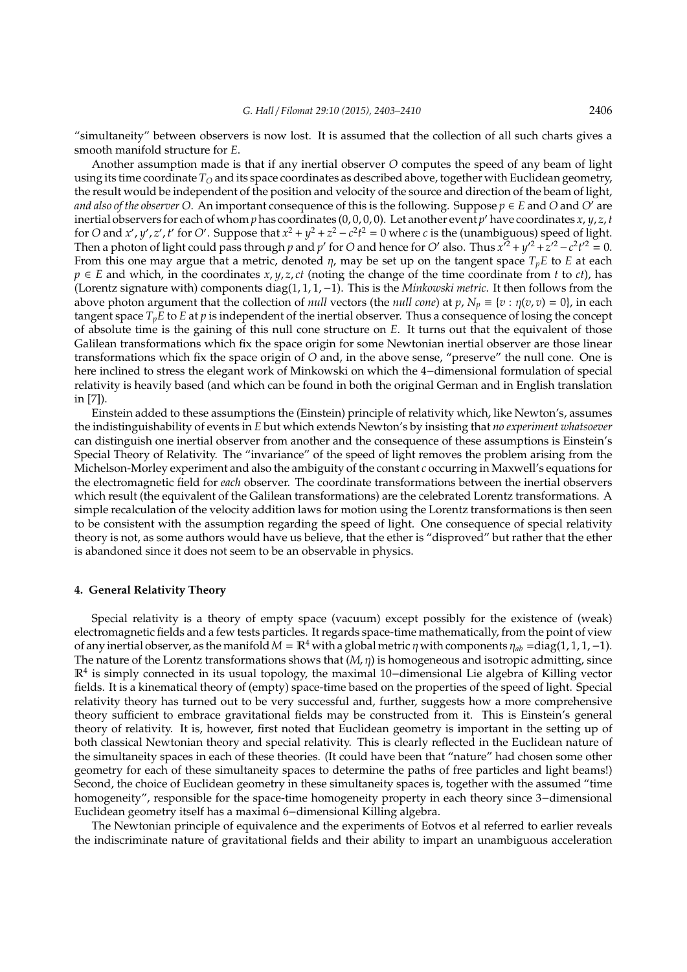"simultaneity" between observers is now lost. It is assumed that the collection of all such charts gives a smooth manifold structure for *E*.

Another assumption made is that if any inertial observer *O* computes the speed of any beam of light using its time coordinate  $T<sub>O</sub>$  and its space coordinates as described above, together with Euclidean geometry, the result would be independent of the position and velocity of the source and direction of the beam of light, *and also of the observer O.* An important consequence of this is the following. Suppose  $p \in E$  and O and O' are inertial observers for each of whom *p* has coordinates (0, 0, 0, 0). Let another event *p* <sup>0</sup> have coordinates *x*, *y*, *z*, *t* for *O* and *x'*, *y'*, *z'*, *t'* for *O'*. Suppose that  $x^2 + y^2 + z^2 - c^2t^2 = 0$  where *c* is the (unambiguous) speed of light. Then a photon of light could pass through *p* and *p'* for *O* and hence for *O'* also. Thus  $x^{2^2} + y'^2 + z'^2 - c^2t'^2 = 0$ . From this one may argue that a metric, denoted  $\eta$ , may be set up on the tangent space  $T_pE$  to *E* at each  $p \in E$  and which, in the coordinates *x*, *y*, *z*, *ct* (noting the change of the time coordinate from *t* to *ct*), has (Lorentz signature with) components diag(1, 1, 1,−1). This is the *Minkowski metric*. It then follows from the above photon argument that the collection of *null* vectors (the *null cone*) at  $p$ ,  $N_p \equiv \{v : \eta(v, v) = 0\}$ , in each tangent space  $T_pE$  to  $E$  at  $p$  is independent of the inertial observer. Thus a consequence of losing the concept of absolute time is the gaining of this null cone structure on *E*. It turns out that the equivalent of those Galilean transformations which fix the space origin for some Newtonian inertial observer are those linear transformations which fix the space origin of *O* and, in the above sense, "preserve" the null cone. One is here inclined to stress the elegant work of Minkowski on which the 4−dimensional formulation of special relativity is heavily based (and which can be found in both the original German and in English translation in [7]).

Einstein added to these assumptions the (Einstein) principle of relativity which, like Newton's, assumes the indistinguishability of events in *E* but which extends Newton's by insisting that *no experiment whatsoever* can distinguish one inertial observer from another and the consequence of these assumptions is Einstein's Special Theory of Relativity. The "invariance" of the speed of light removes the problem arising from the Michelson-Morley experiment and also the ambiguity of the constant *c* occurring in Maxwell's equations for the electromagnetic field for *each* observer. The coordinate transformations between the inertial observers which result (the equivalent of the Galilean transformations) are the celebrated Lorentz transformations. A simple recalculation of the velocity addition laws for motion using the Lorentz transformations is then seen to be consistent with the assumption regarding the speed of light. One consequence of special relativity theory is not, as some authors would have us believe, that the ether is "disproved" but rather that the ether is abandoned since it does not seem to be an observable in physics.

#### **4. General Relativity Theory**

Special relativity is a theory of empty space (vacuum) except possibly for the existence of (weak) electromagnetic fields and a few tests particles. It regards space-time mathematically, from the point of view of any inertial observer, as the manifold  $M = \mathbb{R}^4$  with a global metric  $\eta$  with components  $\eta_{ab} = \text{diag}(1, 1, 1, -1)$ . The nature of the Lorentz transformations shows that (*M*, η) is homogeneous and isotropic admitting, since R<sup>4</sup> is simply connected in its usual topology, the maximal 10−dimensional Lie algebra of Killing vector fields. It is a kinematical theory of (empty) space-time based on the properties of the speed of light. Special relativity theory has turned out to be very successful and, further, suggests how a more comprehensive theory sufficient to embrace gravitational fields may be constructed from it. This is Einstein's general theory of relativity. It is, however, first noted that Euclidean geometry is important in the setting up of both classical Newtonian theory and special relativity. This is clearly reflected in the Euclidean nature of the simultaneity spaces in each of these theories. (It could have been that "nature" had chosen some other geometry for each of these simultaneity spaces to determine the paths of free particles and light beams!) Second, the choice of Euclidean geometry in these simultaneity spaces is, together with the assumed "time homogeneity", responsible for the space-time homogeneity property in each theory since 3−dimensional Euclidean geometry itself has a maximal 6−dimensional Killing algebra.

The Newtonian principle of equivalence and the experiments of Eotvos et al referred to earlier reveals the indiscriminate nature of gravitational fields and their ability to impart an unambiguous acceleration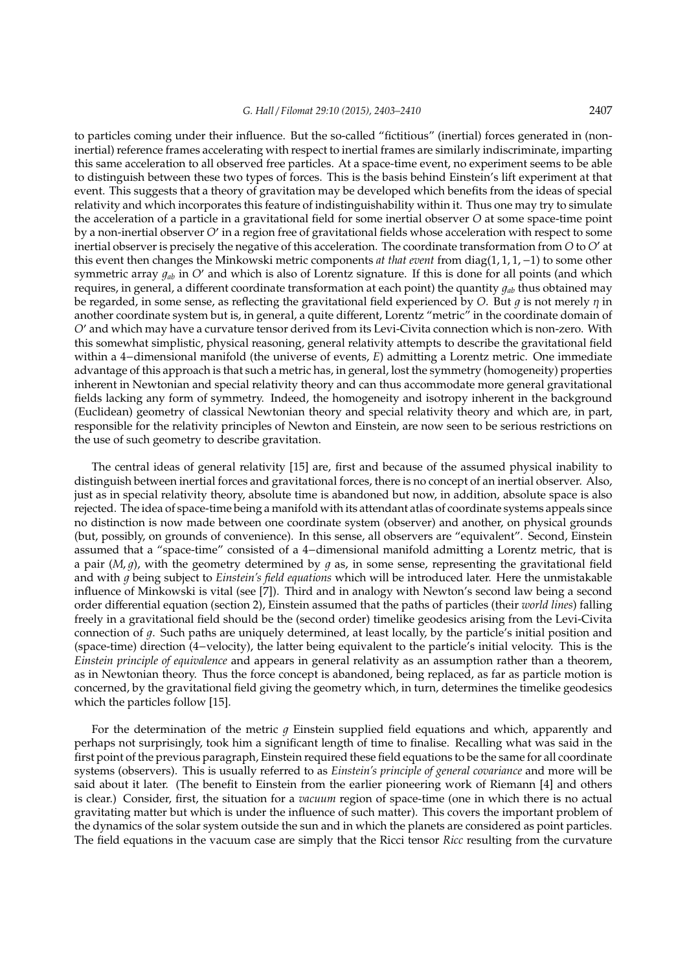to particles coming under their influence. But the so-called "fictitious" (inertial) forces generated in (noninertial) reference frames accelerating with respect to inertial frames are similarly indiscriminate, imparting this same acceleration to all observed free particles. At a space-time event, no experiment seems to be able to distinguish between these two types of forces. This is the basis behind Einstein's lift experiment at that event. This suggests that a theory of gravitation may be developed which benefits from the ideas of special relativity and which incorporates this feature of indistinguishability within it. Thus one may try to simulate the acceleration of a particle in a gravitational field for some inertial observer *O* at some space-time point by a non-inertial observer O' in a region free of gravitational fields whose acceleration with respect to some inertial observer is precisely the negative of this acceleration. The coordinate transformation from *O* to *O'* at this event then changes the Minkowski metric components *at that event* from diag(1, 1, 1,−1) to some other symmetric array  $q_{ab}$  in *O'* and which is also of Lorentz signature. If this is done for all points (and which requires, in general, a different coordinate transformation at each point) the quantity  $q_{ab}$  thus obtained may be regarded, in some sense, as reflecting the gravitational field experienced by *O*. But  $g$  is not merely  $\eta$  in another coordinate system but is, in general, a quite different, Lorentz "metric" in the coordinate domain of *O*<sup>0</sup> and which may have a curvature tensor derived from its Levi-Civita connection which is non-zero. With this somewhat simplistic, physical reasoning, general relativity attempts to describe the gravitational field within a 4−dimensional manifold (the universe of events, *E*) admitting a Lorentz metric. One immediate advantage of this approach is that such a metric has, in general, lost the symmetry (homogeneity) properties inherent in Newtonian and special relativity theory and can thus accommodate more general gravitational fields lacking any form of symmetry. Indeed, the homogeneity and isotropy inherent in the background (Euclidean) geometry of classical Newtonian theory and special relativity theory and which are, in part, responsible for the relativity principles of Newton and Einstein, are now seen to be serious restrictions on the use of such geometry to describe gravitation.

The central ideas of general relativity [15] are, first and because of the assumed physical inability to distinguish between inertial forces and gravitational forces, there is no concept of an inertial observer. Also, just as in special relativity theory, absolute time is abandoned but now, in addition, absolute space is also rejected. The idea of space-time being a manifold with its attendant atlas of coordinate systems appeals since no distinction is now made between one coordinate system (observer) and another, on physical grounds (but, possibly, on grounds of convenience). In this sense, all observers are "equivalent". Second, Einstein assumed that a "space-time" consisted of a 4−dimensional manifold admitting a Lorentz metric, that is a pair  $(M, g)$ , with the geometry determined by  $g$  as, in some sense, representing the gravitational field and with q being subject to *Einstein's field equations* which will be introduced later. Here the unmistakable influence of Minkowski is vital (see [7]). Third and in analogy with Newton's second law being a second order differential equation (section 2), Einstein assumed that the paths of particles (their *world lines*) falling freely in a gravitational field should be the (second order) timelike geodesics arising from the Levi-Civita connection of g. Such paths are uniquely determined, at least locally, by the particle's initial position and (space-time) direction (4−velocity), the latter being equivalent to the particle's initial velocity. This is the *Einstein principle of equivalence* and appears in general relativity as an assumption rather than a theorem, as in Newtonian theory. Thus the force concept is abandoned, being replaced, as far as particle motion is concerned, by the gravitational field giving the geometry which, in turn, determines the timelike geodesics which the particles follow [15].

For the determination of the metric  $q$  Einstein supplied field equations and which, apparently and perhaps not surprisingly, took him a significant length of time to finalise. Recalling what was said in the first point of the previous paragraph, Einstein required these field equations to be the same for all coordinate systems (observers). This is usually referred to as *Einstein's principle of general covariance* and more will be said about it later. (The benefit to Einstein from the earlier pioneering work of Riemann [4] and others is clear.) Consider, first, the situation for a *vacuum* region of space-time (one in which there is no actual gravitating matter but which is under the influence of such matter). This covers the important problem of the dynamics of the solar system outside the sun and in which the planets are considered as point particles. The field equations in the vacuum case are simply that the Ricci tensor *Ricc* resulting from the curvature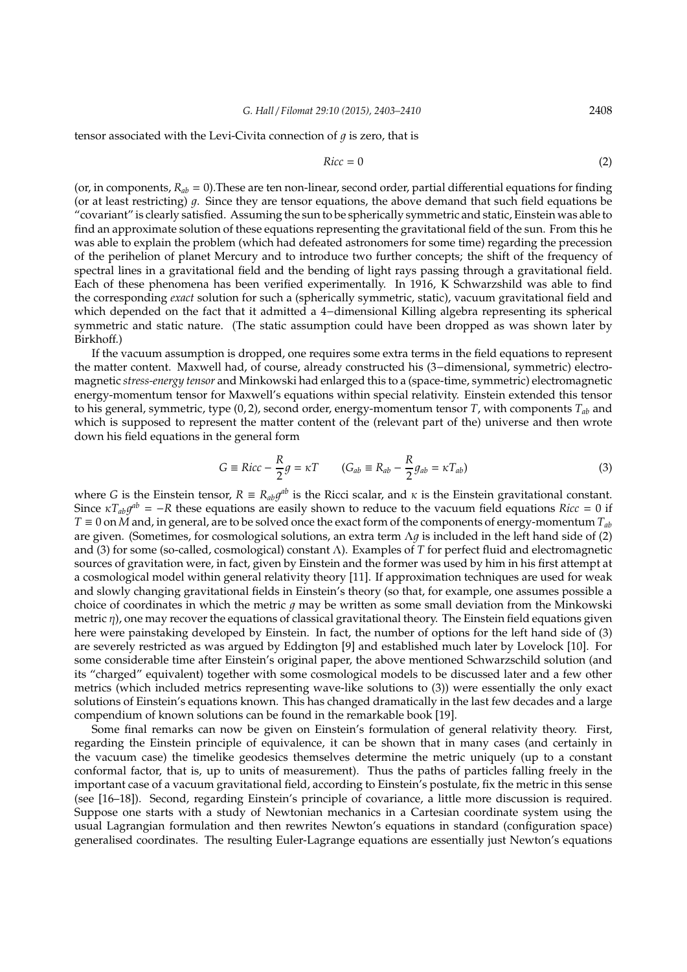tensor associated with the Levi-Civita connection of  $q$  is zero, that is

$$
Ricc = 0 \tag{2}
$$

(or, in components,  $R_{ab} = 0$ ). These are ten non-linear, second order, partial differential equations for finding (or at least restricting)  $q$ . Since they are tensor equations, the above demand that such field equations be "covariant" is clearly satisfied. Assuming the sun to be spherically symmetric and static, Einstein was able to find an approximate solution of these equations representing the gravitational field of the sun. From this he was able to explain the problem (which had defeated astronomers for some time) regarding the precession of the perihelion of planet Mercury and to introduce two further concepts; the shift of the frequency of spectral lines in a gravitational field and the bending of light rays passing through a gravitational field. Each of these phenomena has been verified experimentally. In 1916, K Schwarzshild was able to find the corresponding *exact* solution for such a (spherically symmetric, static), vacuum gravitational field and which depended on the fact that it admitted a 4−dimensional Killing algebra representing its spherical symmetric and static nature. (The static assumption could have been dropped as was shown later by Birkhoff.)

If the vacuum assumption is dropped, one requires some extra terms in the field equations to represent the matter content. Maxwell had, of course, already constructed his (3−dimensional, symmetric) electromagnetic *stress-energy tensor* and Minkowski had enlarged this to a (space-time, symmetric) electromagnetic energy-momentum tensor for Maxwell's equations within special relativity. Einstein extended this tensor to his general, symmetric, type (0, 2), second order, energy-momentum tensor *T*, with components *Tab* and which is supposed to represent the matter content of the (relevant part of the) universe and then wrote down his field equations in the general form

$$
G \equiv Ricc - \frac{R}{2}g = \kappa T \qquad (G_{ab} \equiv R_{ab} - \frac{R}{2}g_{ab} = \kappa T_{ab})
$$
\n(3)

where *G* is the Einstein tensor,  $R \equiv R_{ab}g^{ab}$  is the Ricci scalar, and  $\kappa$  is the Einstein gravitational constant. Since  $\kappa T_{ab}g^{ab} = -R$  these equations are easily shown to reduce to the vacuum field equations *Ricc* = 0 if *T* ≡ 0 on *M* and, in general, are to be solved once the exact form of the components of energy-momentum *Tab* are given. (Sometimes, for cosmological solutions, an extra term  $\Lambda g$  is included in the left hand side of (2) and (3) for some (so-called, cosmological) constant Λ). Examples of *T* for perfect fluid and electromagnetic sources of gravitation were, in fact, given by Einstein and the former was used by him in his first attempt at a cosmological model within general relativity theory [11]. If approximation techniques are used for weak and slowly changing gravitational fields in Einstein's theory (so that, for example, one assumes possible a choice of coordinates in which the metric  $q$  may be written as some small deviation from the Minkowski metric  $\eta$ ), one may recover the equations of classical gravitational theory. The Einstein field equations given here were painstaking developed by Einstein. In fact, the number of options for the left hand side of (3) are severely restricted as was argued by Eddington [9] and established much later by Lovelock [10]. For some considerable time after Einstein's original paper, the above mentioned Schwarzschild solution (and its "charged" equivalent) together with some cosmological models to be discussed later and a few other metrics (which included metrics representing wave-like solutions to (3)) were essentially the only exact solutions of Einstein's equations known. This has changed dramatically in the last few decades and a large compendium of known solutions can be found in the remarkable book [19].

Some final remarks can now be given on Einstein's formulation of general relativity theory. First, regarding the Einstein principle of equivalence, it can be shown that in many cases (and certainly in the vacuum case) the timelike geodesics themselves determine the metric uniquely (up to a constant conformal factor, that is, up to units of measurement). Thus the paths of particles falling freely in the important case of a vacuum gravitational field, according to Einstein's postulate, fix the metric in this sense (see [16–18]). Second, regarding Einstein's principle of covariance, a little more discussion is required. Suppose one starts with a study of Newtonian mechanics in a Cartesian coordinate system using the usual Lagrangian formulation and then rewrites Newton's equations in standard (configuration space) generalised coordinates. The resulting Euler-Lagrange equations are essentially just Newton's equations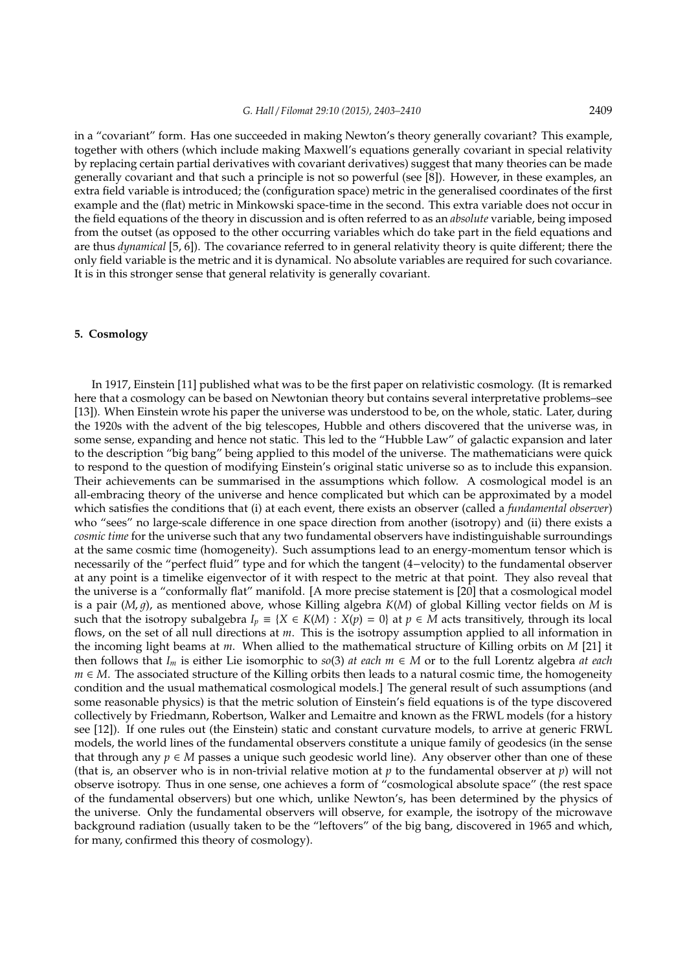in a "covariant" form. Has one succeeded in making Newton's theory generally covariant? This example, together with others (which include making Maxwell's equations generally covariant in special relativity by replacing certain partial derivatives with covariant derivatives) suggest that many theories can be made generally covariant and that such a principle is not so powerful (see [8]). However, in these examples, an extra field variable is introduced; the (configuration space) metric in the generalised coordinates of the first example and the (flat) metric in Minkowski space-time in the second. This extra variable does not occur in the field equations of the theory in discussion and is often referred to as an *absolute* variable, being imposed from the outset (as opposed to the other occurring variables which do take part in the field equations and are thus *dynamical* [5, 6]). The covariance referred to in general relativity theory is quite different; there the only field variable is the metric and it is dynamical. No absolute variables are required for such covariance. It is in this stronger sense that general relativity is generally covariant.

## **5. Cosmology**

In 1917, Einstein [11] published what was to be the first paper on relativistic cosmology. (It is remarked here that a cosmology can be based on Newtonian theory but contains several interpretative problems–see [13]). When Einstein wrote his paper the universe was understood to be, on the whole, static. Later, during the 1920s with the advent of the big telescopes, Hubble and others discovered that the universe was, in some sense, expanding and hence not static. This led to the "Hubble Law" of galactic expansion and later to the description "big bang" being applied to this model of the universe. The mathematicians were quick to respond to the question of modifying Einstein's original static universe so as to include this expansion. Their achievements can be summarised in the assumptions which follow. A cosmological model is an all-embracing theory of the universe and hence complicated but which can be approximated by a model which satisfies the conditions that (i) at each event, there exists an observer (called a *fundamental observer*) who "sees" no large-scale difference in one space direction from another (isotropy) and (ii) there exists a *cosmic time* for the universe such that any two fundamental observers have indistinguishable surroundings at the same cosmic time (homogeneity). Such assumptions lead to an energy-momentum tensor which is necessarily of the "perfect fluid" type and for which the tangent (4−velocity) to the fundamental observer at any point is a timelike eigenvector of it with respect to the metric at that point. They also reveal that the universe is a "conformally flat" manifold. [A more precise statement is [20] that a cosmological model is a pair  $(M, q)$ , as mentioned above, whose Killing algebra  $K(M)$  of global Killing vector fields on M is such that the isotropy subalgebra  $I_p \equiv \{X \in K(M) : X(p) = 0\}$  at  $p \in M$  acts transitively, through its local flows, on the set of all null directions at *m*. This is the isotropy assumption applied to all information in the incoming light beams at *m*. When allied to the mathematical structure of Killing orbits on *M* [21] it then follows that  $I_m$  is either Lie isomorphic to *so*(3) *at each*  $m \in M$  or to the full Lorentz algebra *at each m* ∈ *M*. The associated structure of the Killing orbits then leads to a natural cosmic time, the homogeneity condition and the usual mathematical cosmological models.] The general result of such assumptions (and some reasonable physics) is that the metric solution of Einstein's field equations is of the type discovered collectively by Friedmann, Robertson, Walker and Lemaitre and known as the FRWL models (for a history see [12]). If one rules out (the Einstein) static and constant curvature models, to arrive at generic FRWL models, the world lines of the fundamental observers constitute a unique family of geodesics (in the sense that through any  $p \in M$  passes a unique such geodesic world line). Any observer other than one of these (that is, an observer who is in non-trivial relative motion at *p* to the fundamental observer at *p*) will not observe isotropy. Thus in one sense, one achieves a form of "cosmological absolute space" (the rest space of the fundamental observers) but one which, unlike Newton's, has been determined by the physics of the universe. Only the fundamental observers will observe, for example, the isotropy of the microwave background radiation (usually taken to be the "leftovers" of the big bang, discovered in 1965 and which, for many, confirmed this theory of cosmology).